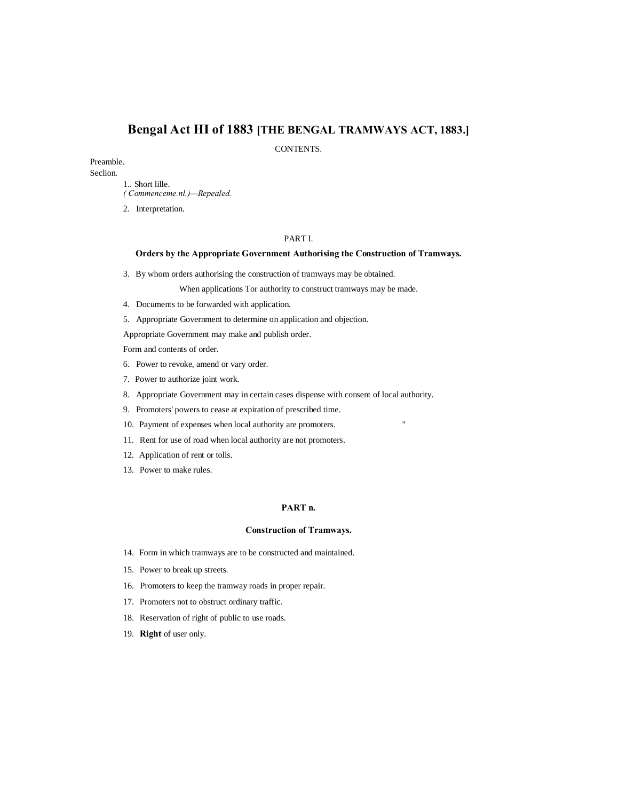# **Bengal Act HI of 1883 [THE BENGAL TRAMWAYS ACT, 1883.]**

CONTENTS.

# Preamble.

Seclion.

- 1.. Short lille.
- *( Commenceme.nl.)—Repealed.*
- 2. Interpretation.

# PART I.

# **Orders by the Appropriate Government Authorising the Construction of Tramways.**

3. By whom orders authorising the construction of tramways may be obtained.

When applications Tor authority to construct tramways may be made.

- 4. Documents to be forwarded with application.
- 5. Appropriate Government to determine on application and objection.

Appropriate Government may make and publish order.

Form and contents of order.

- 6. Power to revoke, amend or vary order.
- 7. Power to authorize joint work.
- 8. Appropriate Government may in certain cases dispense with consent of local authority.
- 9. Promoters' powers to cease at expiration of prescribed time.
- 10. Payment of expenses when local authority are promoters. "
- 11. Rent for use of road when local authority are not promoters.
- 12. Application of rent or tolls.
- 13. Power to make rules.

# **PART n.**

# **Construction of Tramways.**

- 14. Form in which tramways are to be constructed and maintained.
- 15. Power to break up streets.
- 16. Promoters to keep the tramway roads in proper repair.
- 17. Promoters not to obstruct ordinary traffic.
- 18. Reservation of right of public to use roads.
- 19. **Right** of user only.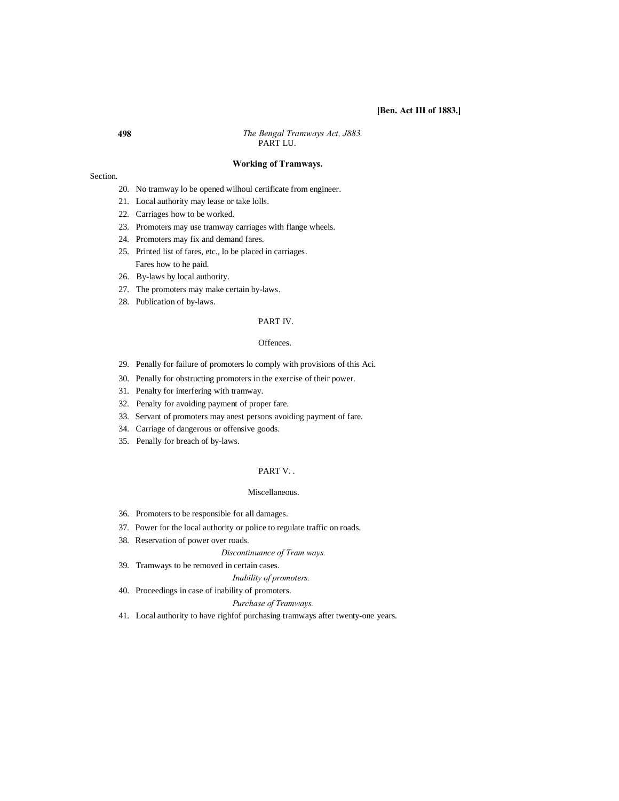# **[Ben. Act III of 1883.]**

**498** *The Bengal Tramways Act, J883.* PART LU.

# **Working of Tramways.**

#### Section.

- 20. No tramway lo be opened wilhoul certificate from engineer.
- 21. Local authority may lease or take lolls.
- 22. Carriages how to be worked.
- 23. Promoters may use tramway carriages with flange wheels.
- 24. Promoters may fix and demand fares.
- 25. Printed list of fares, etc., lo be placed in carriages. Fares how to he paid.
- 26. By-laws by local authority.
- 27. The promoters may make certain by-laws.
- 28. Publication of by-laws.

# PART IV.

# Offences.

- 29. Penally for failure of promoters lo comply with provisions of this Aci.
- 30. Penally for obstructing promoters in the exercise of their power.
- 31. Penalty for interfering with tramway.
- 32. Penalty for avoiding payment of proper fare.
- 33. Servant of promoters may anest persons avoiding payment of fare.
- 34. Carriage of dangerous or offensive goods.
- 35. Penally for breach of by-laws.

# PART V. .

## Miscellaneous.

- 36. Promoters to be responsible for all damages.
- 37. Power for the local authority or police to regulate traffic on roads.
- 38. Reservation of power over roads.

*Discontinuance of Tram ways.*

39. Tramways to be removed in certain cases.

*Inability of promoters.*

40. Proceedings in case of inability of promoters.

#### *Purchase of Tramways.*

41. Local authority to have righfof purchasing tramways after twenty-one years.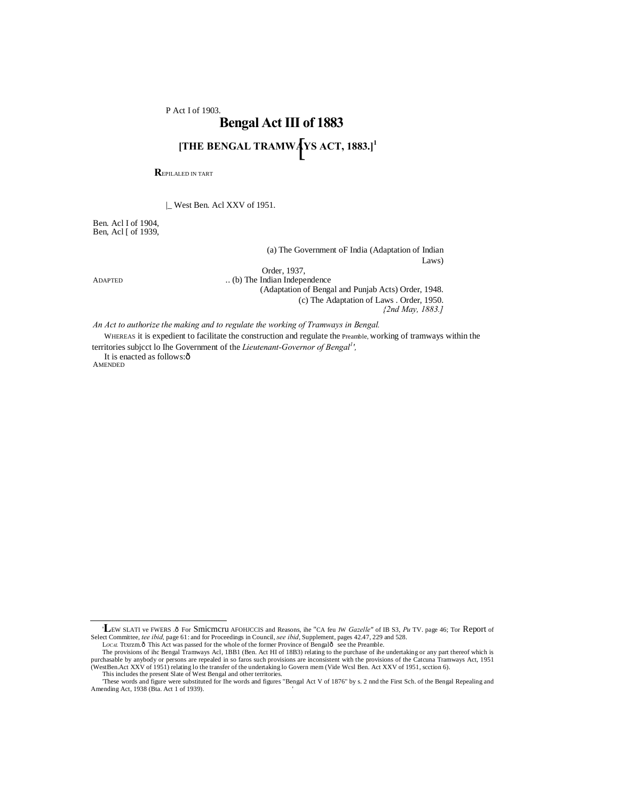P Act I of 1903.

# [ **[THE BENGAL TRAMWAYS ACT, 1883.]1Bengal Act III of 1883**

**R**EPILALED IN TART

|\_ West Ben. Acl XXV of 1951.

Ben. Acl I of 1904, Ben, Acl [ of 1939,

> (a) The Government oF India (Adaptation of Indian Laws)

Order, 1937,

ADAPTED ... (b) The Indian Independence (Adaptation of Bengal and Punjab Acts) Order, 1948. (c) The Adaptation of Laws . Order, 1950. *{2nd May, 1883.]*

*An Act to authorize the making and to regulate the working of Tramways in Bengal.*

WHEREAS it is expedient to facilitate the construction and regulate the Preamble, working of tramways within the territories subjcct lo Ihe Government of the *Lieutenant-Governor of Bengal<sup>1</sup> ',*

It is enacted as follows: $\hat{o}$ **AMENDED** 

<sup>&#</sup>x27;LEW SLATI ve FWERS .ô For Smicmcru AFOHJCCIS and Reasons, ihe "CA feu JW *Gazelle"* of IB S3, *Pu* TV. page 46; Tor Report of Select Committee, *tee ibid,* page 61: and for Proceedings in Council, *see ibid*, Supplement, pages 42.47, 229 and 528.

LOCAL Tixizm.ô This Act was passed for the whole of the former Province of Bengalô see the Preamble.<br>The provisions of ihc Bengal Tramways Acl, 1BB1 (Ben. Act HI of 18B3) relating to the purchase of ihe undertaking or any

This includes the present Slate of West Bengal and other territories. 'These words and figure were substituted for Ihe words and figures "Bengal Act V of 1876" by s. 2 nnd the First Sch. of the Bengal Repealing and

Amending Act, 1938 (Bta. Act 1 of 1939). '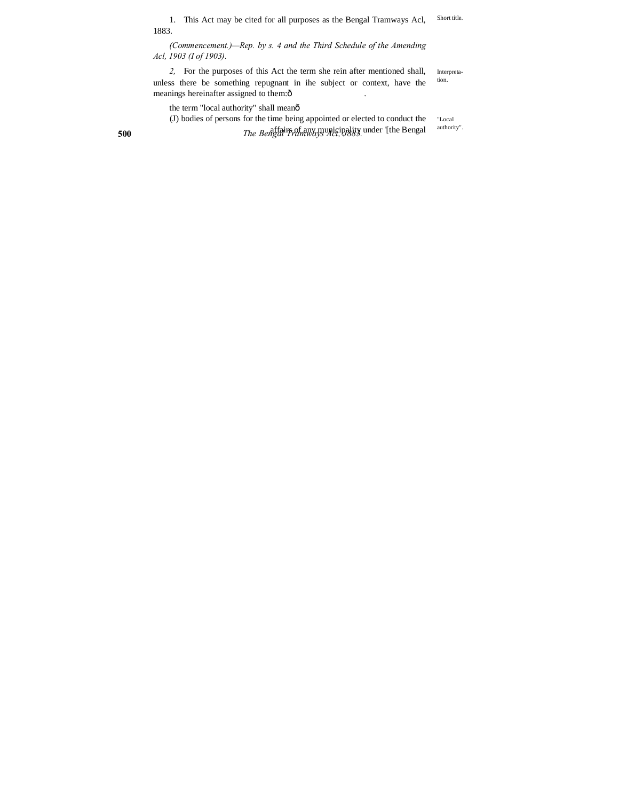Short title. 1. This Act may be cited for all purposes as the Bengal Tramways Acl, 1883.

*(Commencement.)—Rep. by s. 4 and the Third Schedule of the Amending Acl, 1903 (I of 1903).*

Interpretation. *2,* For the purposes of this Act the term she rein after mentioned shall, unless there be something repugnant in ihe subject or context, have the meanings hereinafter assigned to them: $\hat{o}$ 

the term "local authority" shall meanô

**500** *The Bengal Tramways Act, J883.* affairs of any municipality under '[the Bengal"Local (J) bodies of persons for the time being appointed or elected to conduct the

authority".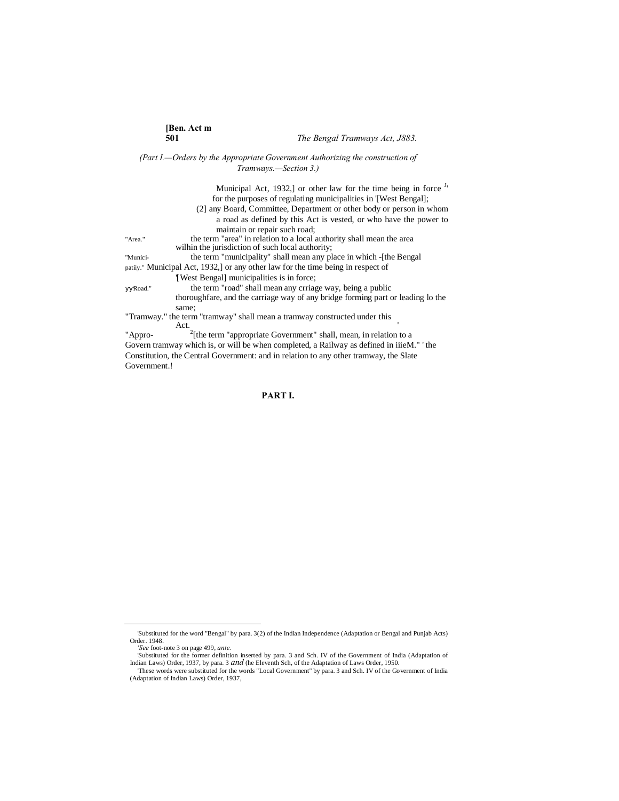# *(Part I.—Orders by the Appropriate Government Authorizing the construction of Tramways.—Section 3.)*

|                                                                                         | Municipal Act, 1932,] or other law for the time being in force $\frac{1}{2}$    |
|-----------------------------------------------------------------------------------------|---------------------------------------------------------------------------------|
|                                                                                         | for the purposes of regulating municipalities in TWest Bengal];                 |
|                                                                                         | (2) any Board, Committee, Department or other body or person in whom            |
|                                                                                         | a road as defined by this Act is vested, or who have the power to               |
|                                                                                         | maintain or repair such road;                                                   |
| "Area."                                                                                 | the term "area" in relation to a local authority shall mean the area            |
|                                                                                         | wilhin the jurisdiction of such local authority;                                |
| "Munici-                                                                                | the term "municipality" shall mean any place in which - [the Bengal]            |
| patily." Municipal Act, 1932, or any other law for the time being in respect of         |                                                                                 |
|                                                                                         | Twest Bengall municipalities is in force;                                       |
| Road."                                                                                  | the term "road" shall mean any crriage way, being a public                      |
|                                                                                         | thoroughfare, and the carriage way of any bridge forming part or leading to the |
|                                                                                         | same;                                                                           |
| "Tramway." the term "tramway" shall mean a tramway constructed under this               |                                                                                 |
|                                                                                         | Act.                                                                            |
| "Appro-                                                                                 | $2$ [the term "appropriate Government" shall, mean, in relation to a            |
| Govern tramway which is, or will be when completed, a Railway as defined in iiieM." the |                                                                                 |
| Constitution, the Central Government: and in relation to any other tramway, the Slate   |                                                                                 |

# **PART I.**

Government.!

 <sup>&#</sup>x27;Substituted for the word "Bengal" by para. 3(2) of the Indian Independence (Adaptation or Bengal and Punjab Acts)

Order. 1948.<br> *See* foot-note 3 on page 499, *ante.*<br>
Substituted by para. 3 and Sch. IV of the Government of India (Adaptation of Substituted for the former definition inserted by para. 3 and Sch. IV of the Government of

<sup>(</sup>Adaptation of Indian Laws) Order, 1937,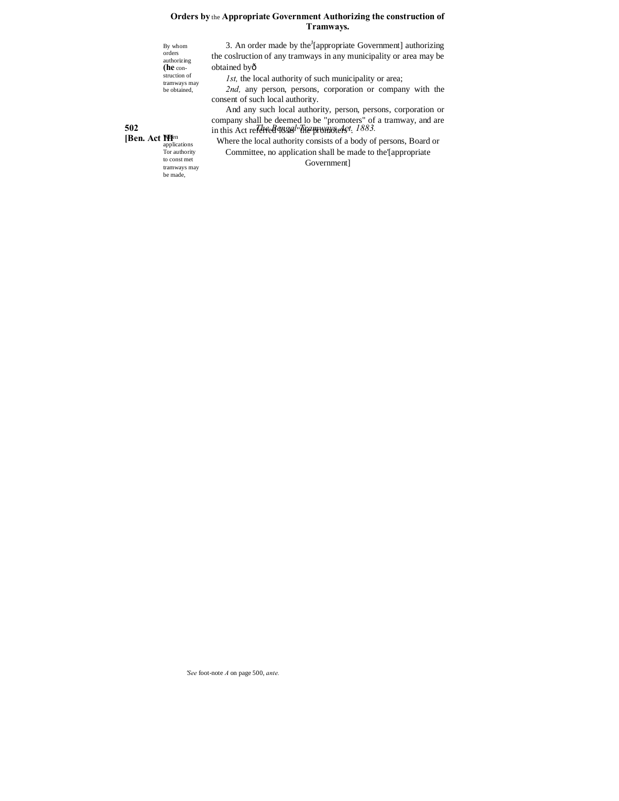# **Orders by** the **Appropriate Government Authorizing the construction of Tramways.**

By whom orders authorizing **(he** con-struction of tramways may be obtained,

obtained by— *1st,* the local authority of such municipality or area;

*2nd,* any person, persons, corporation or company with the consent of such local authority.

3. An order made by the<sup>J</sup>[appropriate Government] authorizing the coslruction of any tramways in any municipality or area may be

**502 The Bengal Transformally shall be deemed lo be "promoters" of a tramway, and are solution** this Act re-And any such local authority, person, persons, corporation or in this Act re<del>ferred IBSG!" the promoters"</del>.

> Where the local authority consists of a body of persons, Board or Committee, no application shall be made to the'[appropriate Government]

**[Ben. Act Men** applications Tor authority to const met tramways may be made,

*'See* foot-note *A* on page 500, *ante.*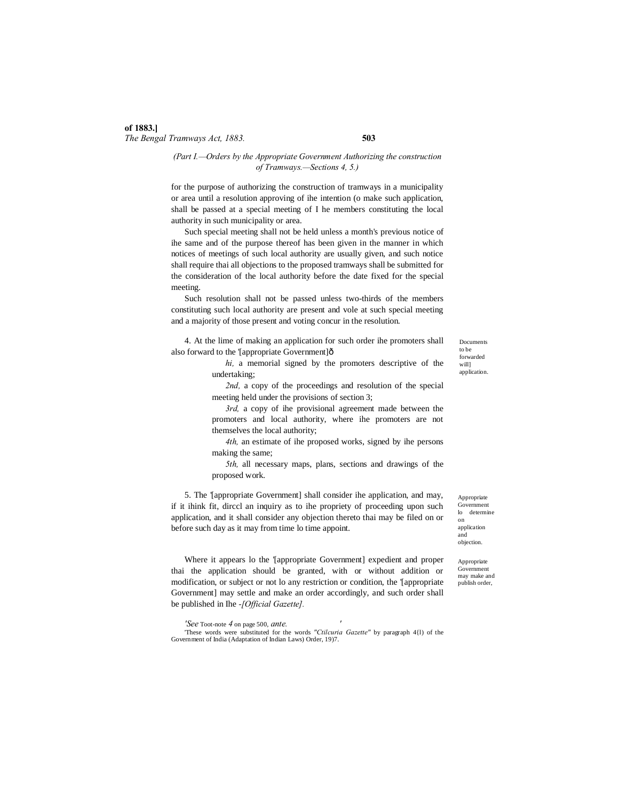# **of 1883.]** *The Bengal Tramways Act, 1883.* **503**

# *(Part I.—Orders by the Appropriate Government Authorizing the construction of Tramways.—Sections 4, 5.)*

for the purpose of authorizing the construction of tramways in a municipality or area until a resolution approving of ihe intention (o make such application, shall be passed at a special meeting of I he members constituting the local authority in such municipality or area.

Such special meeting shall not be held unless a month's previous notice of ihe same and of the purpose thereof has been given in the manner in which notices of meetings of such local authority are usually given, and such notice shall require thai all objections to the proposed tramways shall be submitted for the consideration of the local authority before the date fixed for the special meeting.

Such resolution shall not be passed unless two-thirds of the members constituting such local authority are present and vole at such special meeting and a majority of those present and voting concur in the resolution.

4. At the lime of making an application for such order ihe promoters shall also forward to the '[appropriate Government] $\hat{o}$ 

> *hi,* a memorial signed by the promoters descriptive of the undertaking;

*2nd,* a copy of the proceedings and resolution of the special meeting held under the provisions of section 3;

*3rd,* a copy of ihe provisional agreement made between the promoters and local authority, where ihe promoters are not themselves the local authority;

*4th,* an estimate of ihe proposed works, signed by ihe persons making the same;

*5th,* all necessary maps, plans, sections and drawings of the proposed work.

5. The '[appropriate Government] shall consider ihe application, and may, if it ihink fit, dirccl an inquiry as to ihe propriety of proceeding upon such application, and it shall consider any objection thereto thai may be filed on or before such day as it may from time lo time appoint.

Where it appears lo the '[appropriate Government] expedient and proper thai the application should be granted, with or without addition or modification, or subject or not lo any restriction or condition, the '[appropriate Government] may settle and make an order accordingly, and such order shall be published in Ihe *-[Official Gazette].*

*'See* Toot-note *4* on page 500, *ante. '*

'These words were substituted for the words *"Ctilcuria Gazette"* by paragraph 4{l) of the Government of India (Adaptation of Indian Laws) Order, 19)7.

Documents to be forwarded will] application.

Appropriate Government<br>lo determi determine on application and objection.

Appropriate Government may make and publish order,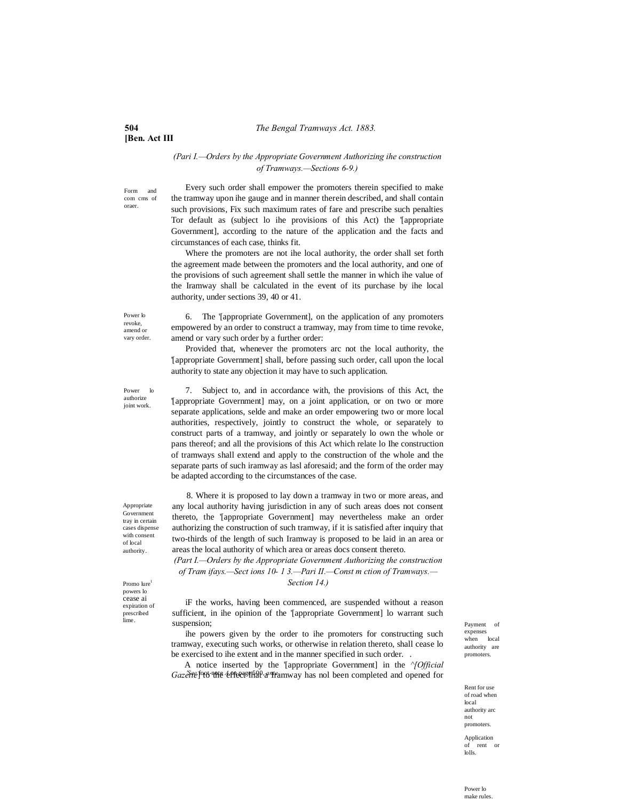# **504** *The Bengal Tramways Act. 1883.*

# **[Ben. Act III**

# *(Pari I.—Orders by the Appropriate Government Authorizing ihe construction of Tramways.—Sections 6-9.)*

Form and com cms of oraer.

Every such order shall empower the promoters therein specified to make the tramway upon ihe gauge and in manner therein described, and shall contain such provisions, Fix such maximum rates of fare and prescribe such penalties Tor default as (subject lo ihe provisions of this Act) the '[appropriate Government], according to the nature of the application and the facts and circumstances of each case, thinks fit.

Where the promoters are not ihe local authority, the order shall set forth the agreement made between the promoters and the local authority, and one of the provisions of such agreement shall settle the manner in which ihe value of the Iramway shall be calculated in the event of its purchase by ihe local authority, under sections 39, 40 or 41.

Power lo revoke, amend or vary order.

Power lo authorize joint work.

6. The '[appropriate Government], on the application of any promoters empowered by an order to construct a tramway, may from time to time revoke, amend or vary such order by a further order:

Provided that, whenever the promoters arc not the local authority, the '[appropriate Government] shall, before passing such order, call upon the local authority to state any objection it may have to such application.

7. Subject to, and in accordance with, the provisions of this Act, the '[appropriate Government] may, on a joint application, or on two or more separate applications, selde and make an order empowering two or more local authorities, respectively, jointly to construct the whole, or separately to construct parts of a tramway, and jointly or separately lo own the whole or pans thereof; and all the provisions of this Act which relate lo Ihe construction of tramways shall extend and apply to the construction of the whole and the separate parts of such iramway as lasl aforesaid; and the form of the order may be adapted according to the circumstances of the case.

8. Where it is proposed to lay down a tramway in two or more areas, and any local authority having jurisdiction in any of such areas does not consent thereto, the '[appropriate Government] may nevertheless make an order authorizing the construction of such tramway, if it is satisfied after inquiry that two-thirds of the length of such Iramway is proposed to be laid in an area or areas the local authority of which area or areas docs consent thereto.

*(Part I.—Orders by the Appropriate Government Authorizing the construction of Tram ifays.—Sect ions 10- 1 3.—Pari II.—Const m ction of Tramways.—*

*Section 14.)*

lime. Suspension; and the contract of the contract of the payment of  $\Gamma$ iF the works, having been commenced, are suspended without a reason sufficient, in ihe opinion of the '[appropriate Government] lo warrant such suspension;

> ihe powers given by the order to ihe promoters for constructing such tramway, executing such works, or otherwise in relation thereto, shall cease lo be exercised to ihe extent and in the manner specified in such order. .

> Gazette<sup>fo</sup>06<sup>-note</sup> effects in a *M*<sup>2</sup> of the muzy has nol been completed and opened for A notice inserted by the '[appropriate Government] in the *^[Official*

expenses when local authority are promoters.

Rent for use of road when local authority arc not promoters.

Application of rent or lolls.

Appropriate **Government** tray in certain cases dispense with consent of local authority.

Promo lure1 powers lo cease ai expiration of prescribed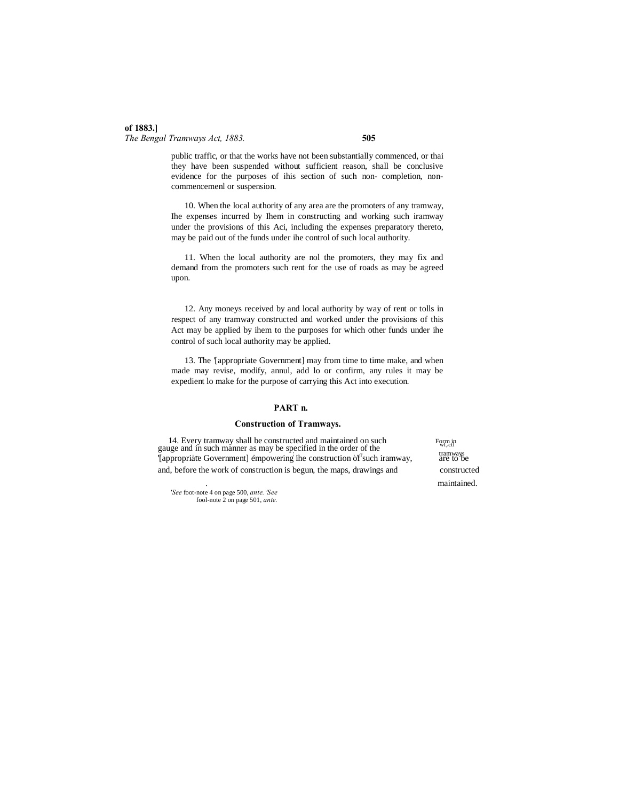# **of 1883.]** *The Bengal Tramways Act, 1883.* **505**

public traffic, or that the works have not been substantially commenced, or thai they have been suspended without sufficient reason, shall be conclusive evidence for the purposes of ihis section of such non- completion, noncommencemenl or suspension.

10. When the local authority of any area are the promoters of any tramway, Ihe expenses incurred by Ihem in constructing and working such iramway under the provisions of this Aci, including the expenses preparatory thereto, may be paid out of the funds under ihe control of such local authority.

11. When the local authority are nol the promoters, they may fix and demand from the promoters such rent for the use of roads as may be agreed upon.

12. Any moneys received by and local authority by way of rent or tolls in respect of any tramway constructed and worked under the provisions of this Act may be applied by ihem to the purposes for which other funds under ihe control of such local authority may be applied.

13. The '[appropriate Government] may from time to time make, and when made may revise, modify, annul, add lo or confirm, any rules it may be expedient lo make for the purpose of carrying this Act into execution.

# **PART n.**

# **Construction of Tramways.**

14. Every tramway shall be constructed and maintained on such gauge and in such manner as may be specified in the order of the with with the specified vertex of the with the construction of such iramway transmission of  $\frac{W}{R}$ '[appropriate Government] empowering ihe construction of such iramway, and, before the work of construction is begun, the maps, drawings and constructed

Form in . maintained.

*'See* foot-note 4 on page 500, *ante. 'See* fool-note 2 on page 501, *ante.*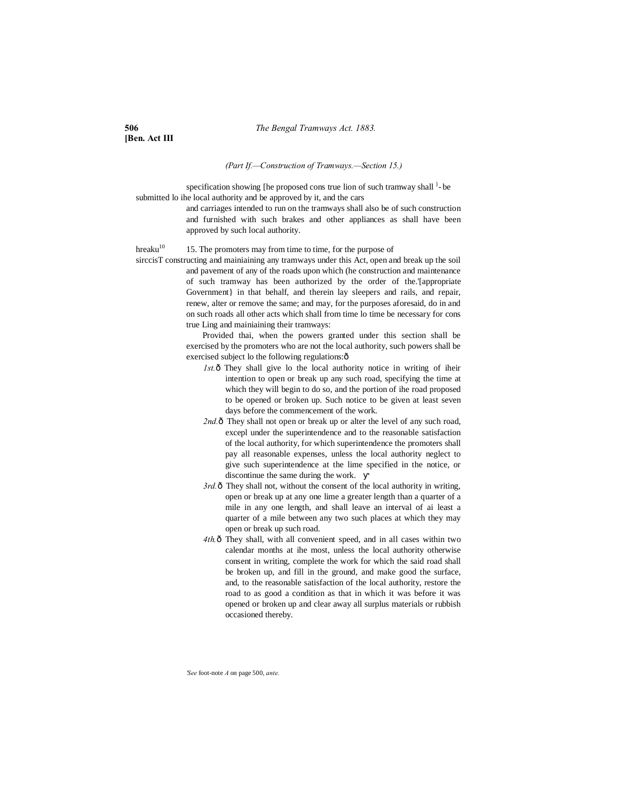**[Ben. Act III**

# *(Part If.—Construction of Tramways.—Section 15.)*

specification showing [he proposed cons true lion of such tramway shall  $\}$ -be submitted lo ihe local authority and be approved by it, and the cars

> and carriages intended to run on the tramways shall also be of such construction and furnished with such brakes and other appliances as shall have been approved by such local authority.

hreaku<sup>10</sup> 15. The promoters may from time to time, for the purpose of

sirccisT constructing and mainiaining any tramways under this Act, open and break up the soil and pavement of any of the roads upon which (he construction and maintenance of such tramway has been authorized by the order of the.'[appropriate Government} in that behalf, and therein lay sleepers and rails, and repair, renew, alter or remove the same; and may, for the purposes aforesaid, do in and on such roads all other acts which shall from time lo time be necessary for cons true Ling and mainiaining their tramways:

> Provided thai, when the powers granted under this section shall be exercised by the promoters who are not the local authority, such powers shall be exercised subject lo the following regulations: $\hat{o}$

- *1st.* ô They shall give lo the local authority notice in writing of iheir intention to open or break up any such road, specifying the time at which they will begin to do so, and the portion of ihe road proposed to be opened or broken up. Such notice to be given at least seven days before the commencement of the work.
- 2nd. $\hat{o}$  They shall not open or break up or alter the level of any such road, excepl under the superintendence and to the reasonable satisfaction of the local authority, for which superintendence the promoters shall pay all reasonable expenses, unless the local authority neglect to give such superintendence at the lime specified in the notice, or discontinue the same during the work.
- 3rd. $\hat{\sigma}$  They shall not, without the consent of the local authority in writing, open or break up at any one lime a greater length than a quarter of a mile in any one length, and shall leave an interval of ai least a quarter of a mile between any two such places at which they may open or break up such road.
- 4th. $\hat{o}$  They shall, with all convenient speed, and in all cases within two calendar months at ihe most, unless the local authority otherwise consent in writing, complete the work for which the said road shall be broken up, and fill in the ground, and make good the surface, and, to the reasonable satisfaction of the local authority, restore the road to as good a condition as that in which it was before it was opened or broken up and clear away all surplus materials or rubbish occasioned thereby.

*'See* foot-note *A* on page 500, *ante.*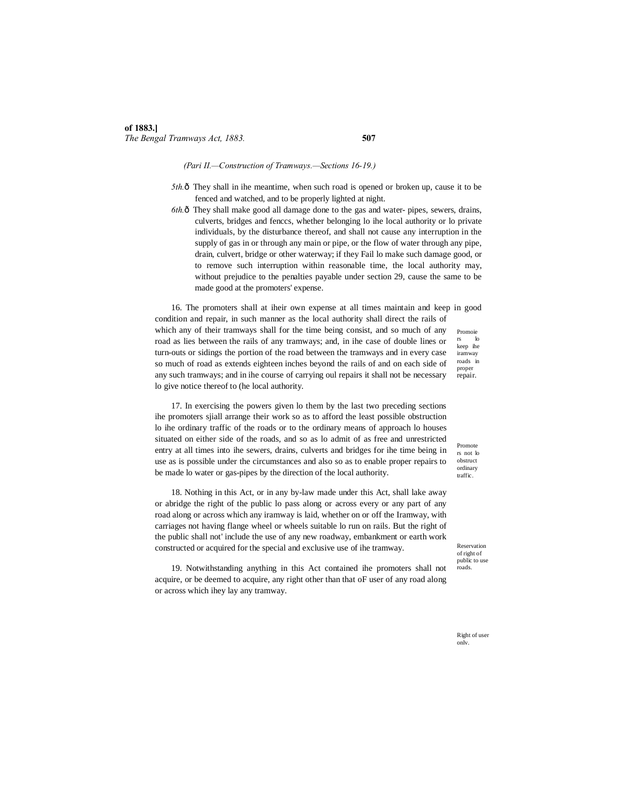# *(Pari II.—Construction of Tramways.—Sections 16-19.)*

- *5th.*  $\delta$  They shall in ihe meantime, when such road is opened or broken up, cause it to be fenced and watched, and to be properly lighted at night.
- *6th.*—They shall make good all damage done to the gas and water- pipes, sewers, drains, culverts, bridges and fenccs, whether belonging lo ihe local authority or lo private individuals, by the disturbance thereof, and shall not cause any interruption in the supply of gas in or through any main or pipe, or the flow of water through any pipe, drain, culvert, bridge or other waterway; if they Fail lo make such damage good, or to remove such interruption within reasonable time, the local authority may, without prejudice to the penalties payable under section 29, cause the same to be made good at the promoters' expense.

Promoie 16. The promoters shall at iheir own expense at all times maintain and keep in good condition and repair, in such manner as the local authority shall direct the rails of which any of their tramways shall for the time being consist, and so much of any road as lies between the rails of any tramways; and, in ihe case of double lines or turn-outs or sidings the portion of the road between the tramways and in every case so much of road as extends eighteen inches beyond the rails of and on each side of any such tramways; and in ihe course of carrying oul repairs it shall not be necessary lo give notice thereof to (he local authority.

17. In exercising the powers given lo them by the last two preceding sections ihe promoters sjiall arrange their work so as to afford the least possible obstruction lo ihe ordinary traffic of the roads or to the ordinary means of approach lo houses situated on either side of the roads, and so as lo admit of as free and unrestricted entry at all times into ihe sewers, drains, culverts and bridges for ihe time being in use as is possible under the circumstances and also so as to enable proper repairs to be made lo water or gas-pipes by the direction of the local authority.

18. Nothing in this Act, or in any by-law made under this Act, shall lake away or abridge the right of the public lo pass along or across every or any part of any road along or across which any iramway is laid, whether on or off the Iramway, with carriages not having flange wheel or wheels suitable lo run on rails. But the right of the public shall not' include the use of any new roadway, embankment or earth work constructed or acquired for the special and exclusive use of ihe tramway.

19. Notwithstanding anything in this Act contained ihe promoters shall not acquire, or be deemed to acquire, any right other than that oF user of any road along or across which ihey lay any tramway.

rs lo keep ihe iramway roads in proper repair.

Promote rs not lo obstruct ordinary traffic.

Reservation of right of public to use roads.

Right of user onlv.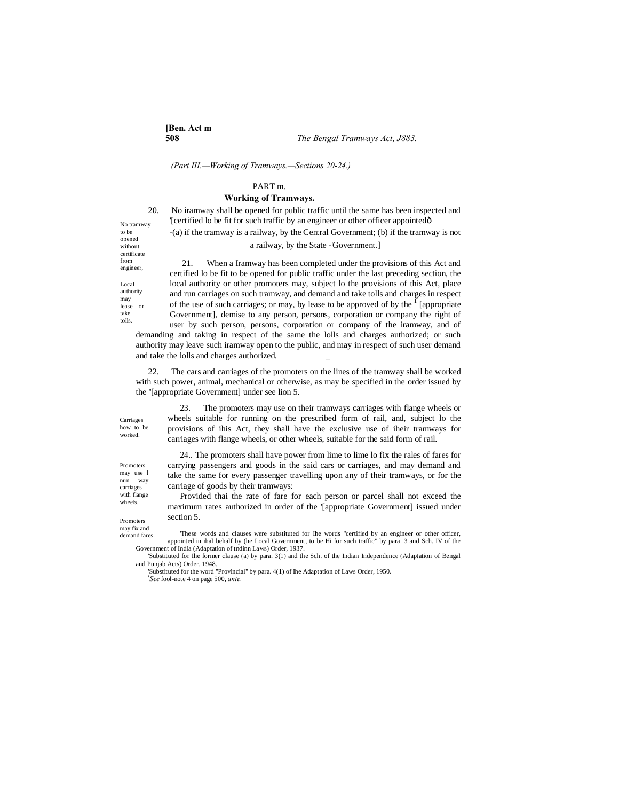**[Ben. Act m**

*(Part III.—Working of Tramways.—Sections 20-24.)*

# PART m.

# **Working of Tramways.**

20. No iramway shall be opened for public traffic until the same has been inspected and '[certified lo be fit for such traffic by an engineer or other officer appointed—

-(a) if the tramway is a railway, by the Central Government; (b) if the tramway is not a railway, by the State -'Government.]

21. When a Iramway has been completed under the provisions of this Act and certified lo be fit to be opened for public traffic under the last preceding section, the local authority or other promoters may, subject lo the provisions of this Act, place and run carriages on such tramway, and demand and take tolls and charges in respect of the use of such carriages; or may, by lease to be approved of by the  $\frac{1}{1}$  [appropriate Government], demise to any person, persons, corporation or company the right of user by such person, persons, corporation or company of the iramway, and of demanding and taking in respect of the same the lolls and charges authorized; or such authority may leave such iramway open to the public, and may in respect of such user demand and take the lolls and charges authorized.

22. The cars and carriages of the promoters on the lines of the tramway shall be worked with such power, animal, mechanical or otherwise, as may be specified in the order issued by the ''[appropriate Government] under see lion 5.

Carriages how to be worked.

23. The promoters may use on their tramways carriages with flange wheels or wheels suitable for running on the prescribed form of rail, and, subject lo the provisions of ihis Act, they shall have the exclusive use of iheir tramways for carriages with flange wheels, or other wheels, suitable for the said form of rail.

24.. The promoters shall have power from lime to lime lo fix the rales of fares for carrying passengers and goods in the said cars or carriages, and may demand and take the same for every passenger travelling upon any of their tramways, or for the carriage of goods by their tramways:

Provided thai the rate of fare for each person or parcel shall not exceed the maximum rates authorized in order of the '[appropriate Government] issued under section 5.

demand fares.

'These words and clauses were substituted for Ihe words "certified by an engineer or other officer, appointed in ihal behalf by (he Local Government, to be Hi for such traffic" by para. 3 and Sch. IV of the Government of India (Adaptation of tndinn Laws) Order, 1937.

'Substituted for Ihe former clause (a) by para. 3(1) and the Sch. of the Indian Independence (Adaptation of Bengal and Punjab Acts) Order, 1948.

'Substituted for the word "Provincial" by para. 4(1) of Ihe Adaptation of Laws Order, 1950. *i See* fool-note 4 on page 500, *ante.*

No tramway to be opened without certificate from engineer,

Local authority may lease or take tolls.

Promoters may use l nun way carriages

with flange wheels.

Promoters may fix and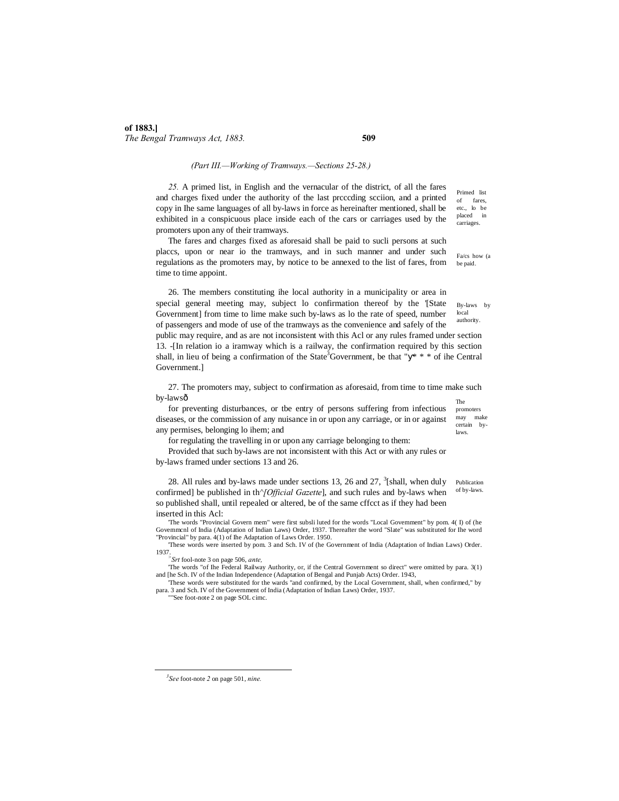# *(Part III.—Working of Tramways.—Sections 25-28.)*

*25.* A primed list, in English and the vernacular of the district, of all the fares and charges fixed under the authority of the last prcccding scciion, and a printed copy in Ihe same languages of all by-laws in force as hereinafter mentioned, shall be exhibited in a conspicuous place inside each of the cars or carriages used by the promoters upon any of their tramways.

The fares and charges fixed as aforesaid shall be paid to sucli persons at such placcs, upon or near io the tramways, and in such manner and under such regulations as the promoters may, by notice to be annexed to the list of fares, from time to time appoint.

local authority. 26. The members constituting ihe local authority in a municipality or area in special general meeting may, subject lo confirmation thereof by the '[State Government] from time to lime make such by-laws as lo the rate of speed, number of passengers and mode of use of the tramways as the convenience and safely of the public may require, and as are not inconsistent with this Acl or any rules framed under section 13. -[In relation io a iramway which is a railway, the confirmation required by this section shall, in lieu of being a confirmation of the State<sup>3</sup>Government, be that " \* \* \* of ihe Central Government.]

The 27. The promoters may, subject to confirmation as aforesaid, from time to time make such by-lawsô

promoters may make certain bylaws. for preventing disturbances, or tbe entry of persons suffering from infectious diseases, or the commission of any nuisance in or upon any carriage, or in or against any permises, belonging lo ihem; and

for regulating the travelling in or upon any carriage belonging to them:

Provided that such by-laws are not inconsistent with this Act or with any rules or by-laws framed under sections 13 and 26.

28. All rules and by-laws made under sections 13, 26 and 27,  $\frac{3}{5}$ [shall, when duly confirmed] be published in th*^[Official Gazette*], and such rules and by-laws when so published shall, until repealed or altered, be of the same cffcct as if they had been inserted in this Acl:

'The words "Provincial Govern mem" were first subsli luted for the words "Local Govemment" by pom. 4( I) of (he Govemmcnl of India (Adaptation of Indian Laws) Order, 1937. Thereafter the word "Slate" was substituted for Ihe word "Provincial" by para. 4(1) of Ihe Adaptation of Laws Order. 1950.

'These words were inserted by pom. 3 and Sch. IV of (he Government of India (Adaptation of Indian Laws) Order. 1937.*<sup>&</sup>gt;*

'These words were substituted for the wards "and confirmed, by the Local Government, shall, when confirmed," by para. 3 and Sch. IV of the Government of India (Adaptation of Indian Laws) Order, 1937.

""See foot-note 2 on page SOL cimc.

 $\frac{1}{3}$ 

Primed list of fares, etc., lo be placed in carriages.

Fa/cs how (a be paid.

By-laws by

Publication of by-laws.

*Srt* fool-note 3 on page 506, *ante,*

<sup>&#</sup>x27;The words "of Ihe Federal Railway Authority, or, if the Central Government so direct" were omitted by para. 3(1) and [he Sch. IV of the Indian Independence (Adaptation of Bengal and Punjab Acts) Order. 1943,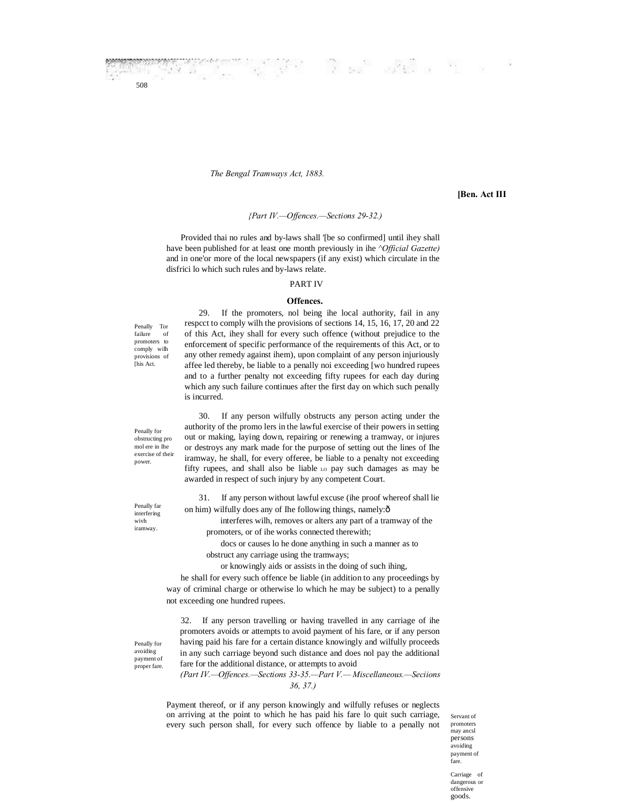*The Bengal Tramways Act, 1883.*

 $\mathcal{A}^{\mathcal{A}}$  ,  $\mathcal{A}^{\mathcal{A}}$ 

# **[Ben. Act III**

# *{Part IV.—Offences.—Sections 29-32.)*

Provided thai no rules and by-laws shall '[be so confirmed] until ihey shall have been published for at least one month previously in ihe *^Official Gazette)* and in one'or more of the local newspapers (if any exist) which circulate in the disfrici lo which such rules and by-laws relate.

# PART IV

## **Offences.**

Penally Tor failure of promoters to comply wilh provisions of [his Act.

508

29. If the promoters, nol being ihe local authority, fail in any respcct to comply wilh the provisions of sections 14, 15, 16, 17, 20 and 22 of this Act, ihey shall for every such offence (without prejudice to the enforcement of specific performance of the requirements of this Act, or to any other remedy against ihem), upon complaint of any person injuriously affee led thereby, be liable to a penally noi exceeding [wo hundred rupees and to a further penalty not exceeding fifty rupees for each day during which any such failure continues after the first day on which such penally is incurred.

Penally for obstructing pro mol ere in Ihe exercise of their power.

Penally far interfering wivh iramway.

Penally for avoiding payment of proper fare.

30. If any person wilfully obstructs any person acting under the authority of the promo lers in the lawful exercise of their powers in setting out or making, laying down, repairing or renewing a tramway, or injures or destroys any mark made for the purpose of setting out the lines of Ihe iramway, he shall, for every offeree, be liable to a penalty not exceeding fifty rupees, and shall also be liable Lo pay such damages as may be awarded in respect of such injury by any competent Court.

31. If any person without lawful excuse (ihe proof whereof shall lie on him) wilfully does any of Ihe following things, namely: $\hat{o}$ 

interferes wilh, removes or alters any part of a tramway of the promoters, or of ihe works connected therewith;

docs or causes lo he done anything in such a manner as to obstruct any carriage using the tramways;

or knowingly aids or assists in the doing of such ihing,

he shall for every such offence be liable (in addition to any proceedings by way of criminal charge or otherwise lo which he may be subject) to a penally not exceeding one hundred rupees.

32. If any person travelling or having travelled in any carriage of ihe promoters avoids or attempts to avoid payment of his fare, or if any person having paid his fare for a certain distance knowingly and wilfully proceeds in any such carriage beyond such distance and does nol pay the additional fare for the additional distance, or attempts to avoid

*(Part IV.—Offences.—Sections 33-35.—Part V.— Miscellaneous.—Seciions 36, 37.)*

Payment thereof, or if any person knowingly and wilfully refuses or neglects on arriving at the point to which he has paid his fare lo quit such carriage, every such person shall, for every such offence by liable to a penally not

Servant of promoters may ancsl persons avoiding payment of fare.

Carriage of dangerous or offensive goods.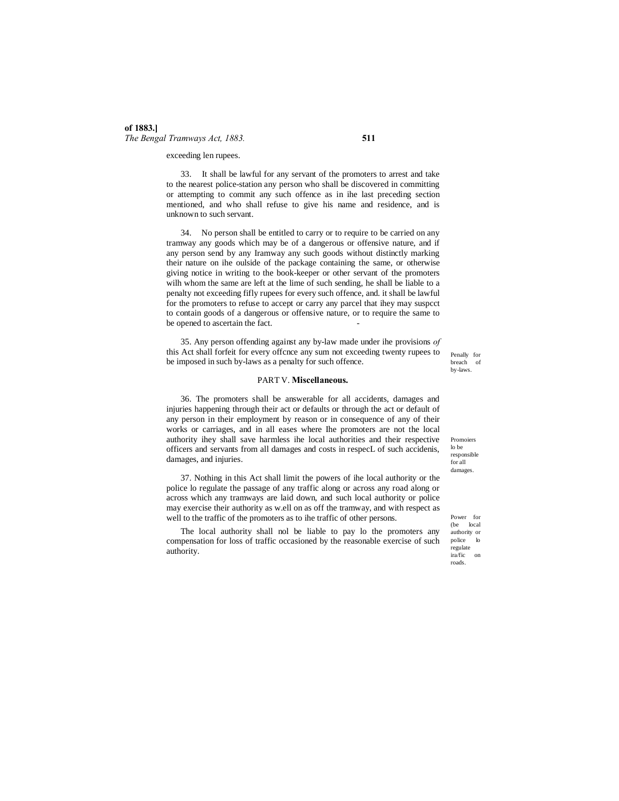# **of 1883.]** *The Bengal Tramways Act, 1883.* **511**

exceeding len rupees.

33. It shall be lawful for any servant of the promoters to arrest and take to the nearest police-station any person who shall be discovered in committing or attempting to commit any such offence as in ihe last preceding section mentioned, and who shall refuse to give his name and residence, and is unknown to such servant.

34. No person shall be entitled to carry or to require to be carried on any tramway any goods which may be of a dangerous or offensive nature, and if any person send by any Iramway any such goods without distinctly marking their nature on ihe oulside of the package containing the same, or otherwise giving notice in writing to the book-keeper or other servant of the promoters wilh whom the same are left at the lime of such sending, he shall be liable to a penalty not exceeding fifly rupees for every such offence, and. it shall be lawful for the promoters to refuse to accept or carry any parcel that ihey may suspcct to contain goods of a dangerous or offensive nature, or to require the same to be opened to ascertain the fact.

35. Any person offending against any by-law made under ihe provisions *of* this Act shall forfeit for every offcnce any sum not exceeding twenty rupees to be imposed in such by-laws as a penalty for such offence.

## PART V. **Miscellaneous.**

36. The promoters shall be answerable for all accidents, damages and injuries happening through their act or defaults or through the act or default of any person in their employment by reason or in consequence of any of their works or carriages, and in all eases where Ihe promoters are not the local authority ihey shall save harmless ihe local authorities and their respective officers and servants from all damages and costs in respecL of such accidenis, damages, and injuries.

37. Nothing in this Act shall limit the powers of ihe local authority or the police lo regulate the passage of any traffic along or across any road along or across which any tramways are laid down, and such local authority or police may exercise their authority as w.ell on as off the tramway, and with respect as well to the traffic of the promoters as to ihe traffic of other persons.

The local authority shall nol be liable to pay lo the promoters any compensation for loss of traffic occasioned by the reasonable exercise of such authority.

Penally for breach of by-laws.

Promoiers lo be responsible for all damages.

Power for (be local authority or police lo regulate ira/fic on roads.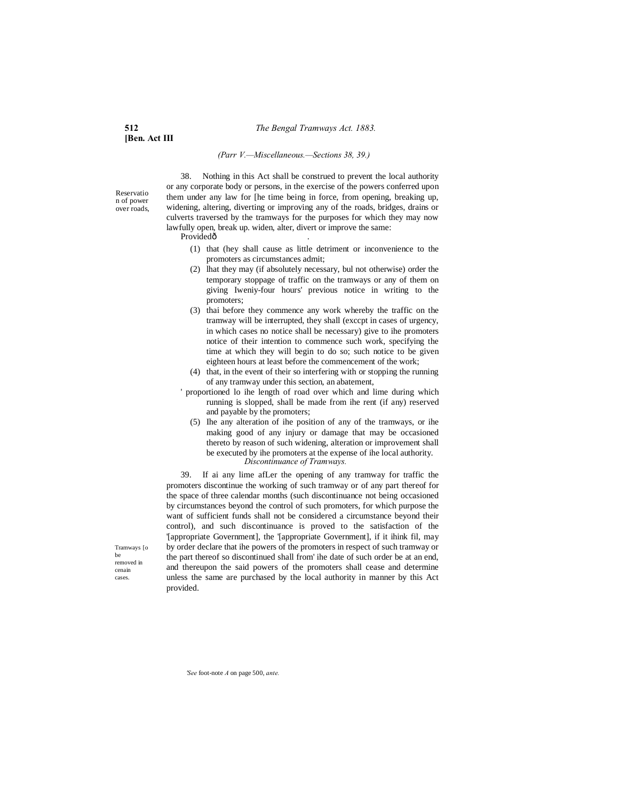**[Ben. Act III**

# *(Parr V.—Miscellaneous.—Sections 38, 39.)*

Reservatio n of power over roads,

38. Nothing in this Act shall be construed to prevent the local authority or any corporate body or persons, in the exercise of the powers conferred upon them under any law for [he time being in force, from opening, breaking up, widening, altering, diverting or improving any of the roads, bridges, drains or culverts traversed by the tramways for the purposes for which they may now lawfully open, break up. widen, alter, divert or improve the same:

Providedô

- (1) that (hey shall cause as little detriment or inconvenience to the promoters as circumstances admit;
- (2) lhat they may (if absolutely necessary, bul not otherwise) order the temporary stoppage of traffic on the tramways or any of them on giving Iweniy-four hours' previous notice in writing to the promoters;
- (3) thai before they commence any work whereby the traffic on the tramway will be interrupted, they shall (exccpt in cases of urgency, in which cases no notice shall be necessary) give to ihe promoters notice of their intention to commence such work, specifying the time at which they will begin to do so; such notice to be given eighteen hours at least before the commencement of the work;
- (4) that, in the event of their so interfering with or stopping the running of any tramway under this section, an abatement,
- ' proportioned lo ihe length of road over which and lime during which running is slopped, shall be made from ihe rent (if any) reserved and payable by the promoters;
	- (5) Ihe any alteration of ihe position of any of the tramways, or ihe making good of any injury or damage that may be occasioned thereto by reason of such widening, alteration or improvement shall be executed by ihe promoters at the expense of ihe local authority. *Discontinuance of Tramways.*

39. If ai any lime afLer the opening of any tramway for traffic the promoters discontinue the working of such tramway or of any part thereof for the space of three calendar months (such discontinuance not being occasioned by circumstances beyond the control of such promoters, for which purpose the want of sufficient funds shall not be considered a circumstance beyond their control), and such discontinuance is proved to the satisfaction of the '[appropriate Government], the '[appropriate Government], if it ihink fil, may by order declare that ihe powers of the promoters in respect of such tramway or the part thereof so discontinued shall from' ihe date of such order be at an end, and thereupon the said powers of the promoters shall cease and determine unless the same are purchased by the local authority in manner by this Act provided.

Tramways [o be removed in cenain cases.

*'See* foot-note *A* on page 500, *ante.*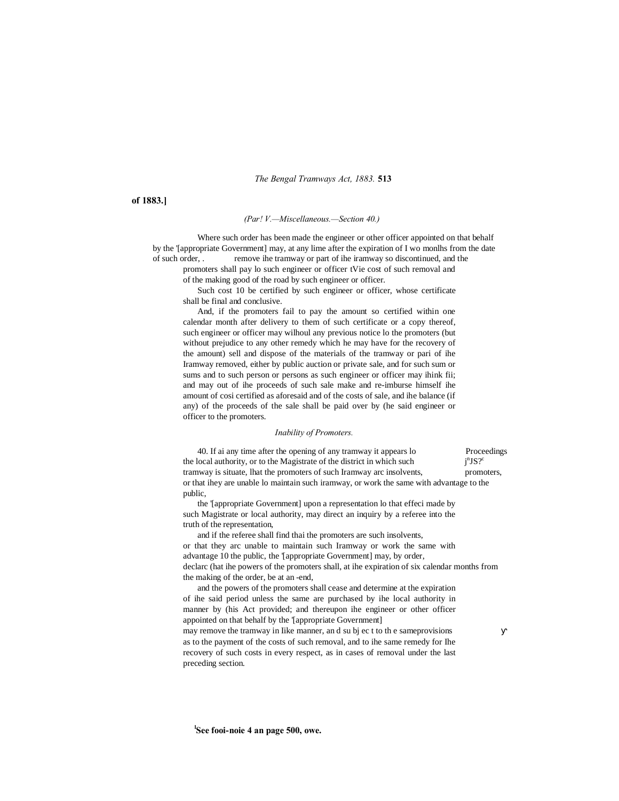*The Bengal Tramways Act, 1883.* **513**

**of 1883.]**

*(Par! V.—Miscellaneous.—Section 40.)*

Where such order has been made the engineer or other officer appointed on that behalf by the '[appropriate Government] may, at any lime after the expiration of I wo monlhs from the date of such order, . remove ihe tramway or part of ihe iramway so discontinued, and the

promoters shall pay lo such engineer or officer tVie cost of such removal and of the making good of the road by such engineer or officer.

Such cost 10 be certified by such engineer or officer, whose certificate shall be final and conclusive.

And, if the promoters fail to pay the amount so certified within one calendar month after delivery to them of such certificate or a copy thereof, such engineer or officer may wilhoul any previous notice lo the promoters (but without prejudice to any other remedy which he may have for the recovery of the amount) sell and dispose of the materials of the tramway or pari of ihe Iramway removed, either by public auction or private sale, and for such sum or sums and to such person or persons as such engineer or officer may ihink fii; and may out of ihe proceeds of such sale make and re-imburse himself ihe amount of cosi certified as aforesaid and of the costs of sale, and ihe balance (if any) of the proceeds of the sale shall be paid over by (he said engineer or officer to the promoters.

# *Inability of Promoters.*

40. If ai any time after the opening of any tramway it appears lo Proceedings the local authority, or to the Magistrate of the district in which such j  $n_{\rm JS}$ ? tramway is situate, lhat the promoters of such Iramway arc insolvents, promoters, or that ihey are unable lo maintain such iramway, or work the same with advantage to the public,

the '[appropriate Government] upon a representation lo that effeci made by such Magistrate or local authority, may direct an inquiry by a referee into the truth of the representation,

and if the referee shall find thai the promoters are such insolvents, or that they arc unable to maintain such Iramway or work the same with advantage 10 the public, the '[appropriate Government] may, by order, declarc (hat ihe powers of the promoters shall, at ihe expiration of six calendar months from the making of the order, be at an -end,

and the powers of the promoters shall cease and determine at the expiration of ihe said period unless the same are purchased by ihe local authority in manner by (his Act provided; and thereupon ihe engineer or other officer appointed on that behalf by the '[appropriate Government]

may remove the tramway in Iike manner, an d su bj ec t to th e sameprovisions as to the payment of the costs of such removal, and to ihe same remedy for Ihe recovery of such costs in every respect, as in cases of removal under the last preceding section.

**l See fooi-noie 4 an page 500, owe.**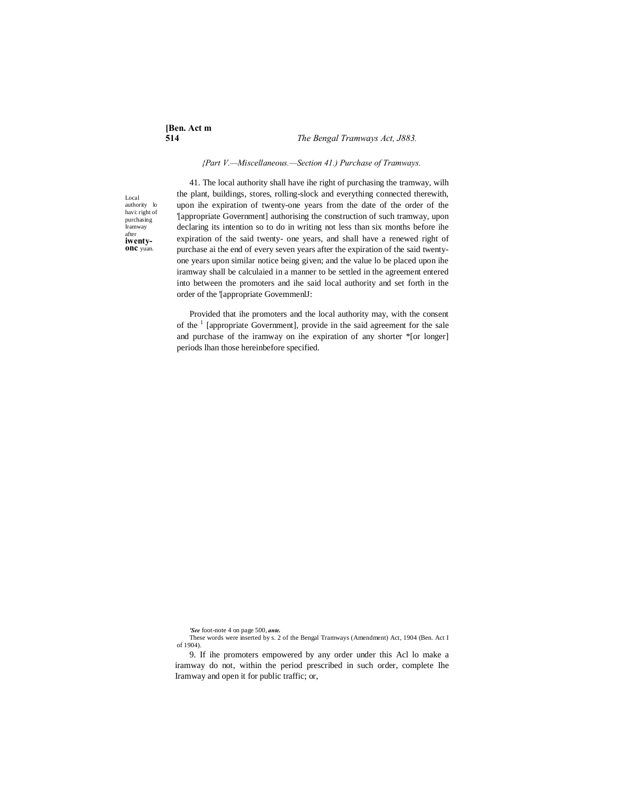# **[Ben. Act m**

# **514** *The Bengal Tramways Act, J883.*

#### *{Part V.—Miscellaneous.—Section 41.) Purchase of Tramways.*

Local authority lo havi: right of purchasing Iramway after<br>iwenty**onc** yuan.

41. The local authority shall have ihe right of purchasing the tramway, wilh the plant, buildings, stores, rolling-slock and everything connected therewith, upon ihe expiration of twenty-one years from the date of the order of the '[appropriate Government] authorising the construction of such tramway, upon declaring its intention so to do in writing not less than six months before ihe expiration of the said twenty- one years, and shall have a renewed right of purchase ai the end of every seven years after the expiration of the said twentyone years upon similar notice being given; and the value lo be placed upon ihe iramway shall be calculaied in a manner to be settled in the agreement entered into between the promoters and ihe said local authority and set forth in the order of the '[appropriate GovemmenlJ:

Provided that ihe promoters and the local authority may, with the consent of the  $\frac{1}{1}$  [appropriate Government], provide in the said agreement for the sale and purchase of the iramway on ihe expiration of any shorter \*[or longer] periods lhan those hereinbefore specified.

*'See* foot-note 4 on page 500, *ante.*

These words were inserted by s. 2 of the Bengal Tramways (Amendment) Act, 1904 (Ben. Act I of 1904).

<sup>9.</sup> If ihe promoters empowered by any order under this Acl lo make a iramway do not, within the period prescribed in such order, complete Ihe Iramway and open it for public traffic; or,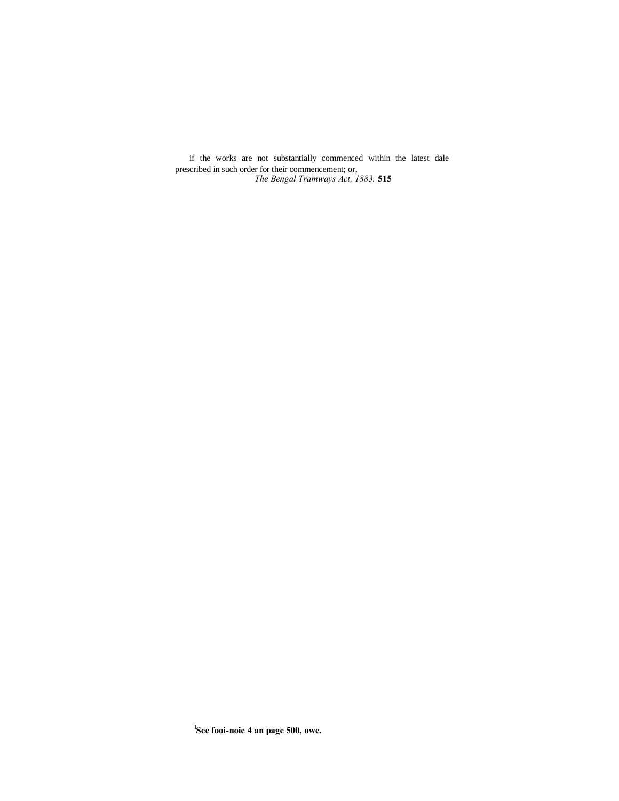*The Bengal Tramways Act, 1883.* **515** if the works are not substantially commenced within the latest dale prescribed in such order for their commencement; or,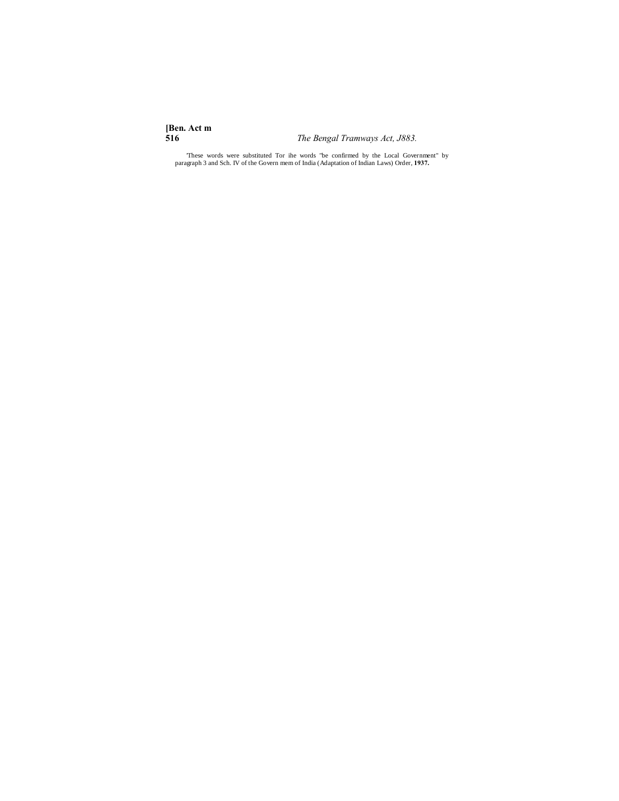**[Ben. Act m**

**516** *The Bengal Tramways Act, J883.*

'These words were substituted Tor ihe words "be confirmed by the Local Government" by paragraph 3 and Sch. IV of the Govern mem of India (Adaptation of Indian Laws) Order, **1937.**